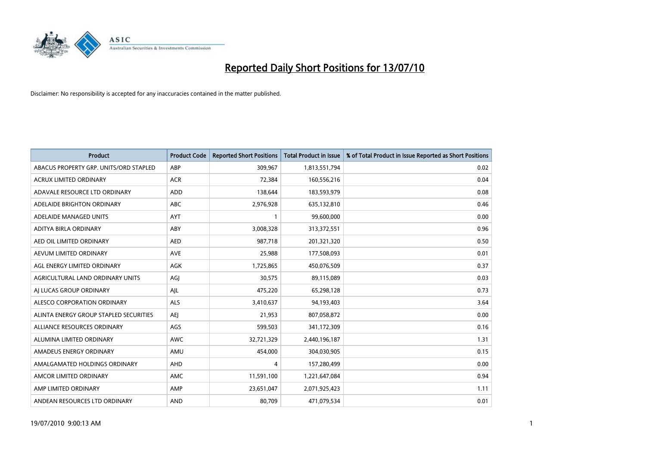

| <b>Product</b>                         | <b>Product Code</b> | <b>Reported Short Positions</b> | Total Product in Issue | % of Total Product in Issue Reported as Short Positions |
|----------------------------------------|---------------------|---------------------------------|------------------------|---------------------------------------------------------|
| ABACUS PROPERTY GRP. UNITS/ORD STAPLED | ABP                 | 309,967                         | 1,813,551,794          | 0.02                                                    |
| ACRUX LIMITED ORDINARY                 | <b>ACR</b>          | 72,384                          | 160,556,216            | 0.04                                                    |
| ADAVALE RESOURCE LTD ORDINARY          | <b>ADD</b>          | 138,644                         | 183,593,979            | 0.08                                                    |
| ADELAIDE BRIGHTON ORDINARY             | <b>ABC</b>          | 2,976,928                       | 635,132,810            | 0.46                                                    |
| ADELAIDE MANAGED UNITS                 | <b>AYT</b>          |                                 | 99,600,000             | 0.00                                                    |
| ADITYA BIRLA ORDINARY                  | ABY                 | 3,008,328                       | 313,372,551            | 0.96                                                    |
| AED OIL LIMITED ORDINARY               | <b>AED</b>          | 987,718                         | 201,321,320            | 0.50                                                    |
| AEVUM LIMITED ORDINARY                 | <b>AVE</b>          | 25,988                          | 177,508,093            | 0.01                                                    |
| AGL ENERGY LIMITED ORDINARY            | AGK                 | 1,725,865                       | 450,076,509            | 0.37                                                    |
| AGRICULTURAL LAND ORDINARY UNITS       | AGI                 | 30,575                          | 89,115,089             | 0.03                                                    |
| AJ LUCAS GROUP ORDINARY                | AJL                 | 475,220                         | 65,298,128             | 0.73                                                    |
| ALESCO CORPORATION ORDINARY            | <b>ALS</b>          | 3,410,637                       | 94,193,403             | 3.64                                                    |
| ALINTA ENERGY GROUP STAPLED SECURITIES | <b>AEJ</b>          | 21,953                          | 807,058,872            | 0.00                                                    |
| ALLIANCE RESOURCES ORDINARY            | AGS                 | 599,503                         | 341,172,309            | 0.16                                                    |
| ALUMINA LIMITED ORDINARY               | <b>AWC</b>          | 32,721,329                      | 2,440,196,187          | 1.31                                                    |
| AMADEUS ENERGY ORDINARY                | AMU                 | 454.000                         | 304,030,905            | 0.15                                                    |
| AMALGAMATED HOLDINGS ORDINARY          | AHD                 | 4                               | 157,280,499            | 0.00                                                    |
| AMCOR LIMITED ORDINARY                 | <b>AMC</b>          | 11,591,100                      | 1,221,647,084          | 0.94                                                    |
| AMP LIMITED ORDINARY                   | AMP                 | 23,651,047                      | 2,071,925,423          | 1.11                                                    |
| ANDEAN RESOURCES LTD ORDINARY          | <b>AND</b>          | 80,709                          | 471,079,534            | 0.01                                                    |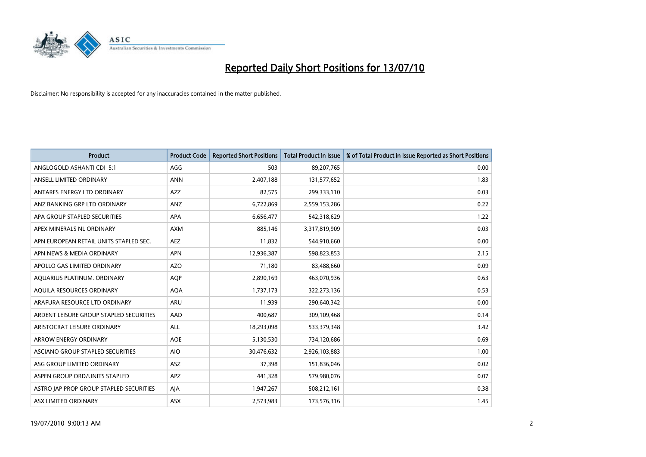

| <b>Product</b>                          | <b>Product Code</b> | <b>Reported Short Positions</b> | <b>Total Product in Issue</b> | % of Total Product in Issue Reported as Short Positions |
|-----------------------------------------|---------------------|---------------------------------|-------------------------------|---------------------------------------------------------|
| ANGLOGOLD ASHANTI CDI 5:1               | AGG                 | 503                             | 89,207,765                    | 0.00                                                    |
| ANSELL LIMITED ORDINARY                 | <b>ANN</b>          | 2,407,188                       | 131,577,652                   | 1.83                                                    |
| ANTARES ENERGY LTD ORDINARY             | <b>AZZ</b>          | 82,575                          | 299,333,110                   | 0.03                                                    |
| ANZ BANKING GRP LTD ORDINARY            | ANZ                 | 6,722,869                       | 2,559,153,286                 | 0.22                                                    |
| APA GROUP STAPLED SECURITIES            | <b>APA</b>          | 6,656,477                       | 542,318,629                   | 1.22                                                    |
| APEX MINERALS NL ORDINARY               | <b>AXM</b>          | 885,146                         | 3,317,819,909                 | 0.03                                                    |
| APN EUROPEAN RETAIL UNITS STAPLED SEC.  | <b>AEZ</b>          | 11,832                          | 544,910,660                   | 0.00                                                    |
| APN NEWS & MEDIA ORDINARY               | <b>APN</b>          | 12,936,387                      | 598,823,853                   | 2.15                                                    |
| APOLLO GAS LIMITED ORDINARY             | <b>AZO</b>          | 71,180                          | 83,488,660                    | 0.09                                                    |
| AQUARIUS PLATINUM. ORDINARY             | <b>AOP</b>          | 2,890,169                       | 463,070,936                   | 0.63                                                    |
| AQUILA RESOURCES ORDINARY               | <b>AQA</b>          | 1,737,173                       | 322,273,136                   | 0.53                                                    |
| ARAFURA RESOURCE LTD ORDINARY           | <b>ARU</b>          | 11,939                          | 290,640,342                   | 0.00                                                    |
| ARDENT LEISURE GROUP STAPLED SECURITIES | AAD                 | 400,687                         | 309,109,468                   | 0.14                                                    |
| ARISTOCRAT LEISURE ORDINARY             | ALL                 | 18,293,098                      | 533,379,348                   | 3.42                                                    |
| <b>ARROW ENERGY ORDINARY</b>            | <b>AOE</b>          | 5,130,530                       | 734,120,686                   | 0.69                                                    |
| ASCIANO GROUP STAPLED SECURITIES        | <b>AIO</b>          | 30,476,632                      | 2,926,103,883                 | 1.00                                                    |
| ASG GROUP LIMITED ORDINARY              | <b>ASZ</b>          | 37,398                          | 151,836,046                   | 0.02                                                    |
| ASPEN GROUP ORD/UNITS STAPLED           | <b>APZ</b>          | 441,328                         | 579,980,076                   | 0.07                                                    |
| ASTRO JAP PROP GROUP STAPLED SECURITIES | AJA                 | 1,947,267                       | 508,212,161                   | 0.38                                                    |
| ASX LIMITED ORDINARY                    | ASX                 | 2,573,983                       | 173,576,316                   | 1.45                                                    |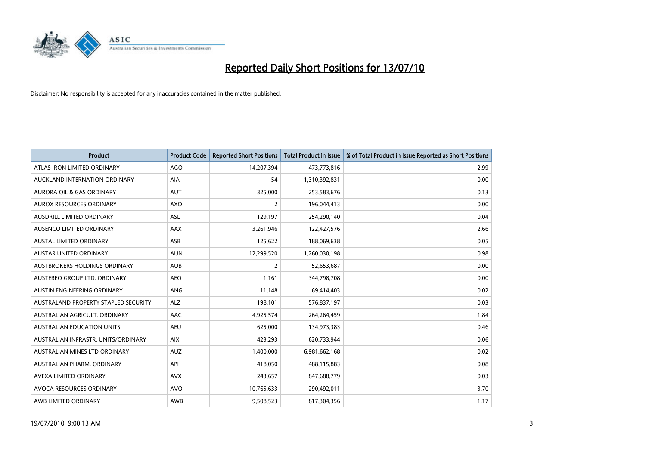

| <b>Product</b>                       | <b>Product Code</b> | <b>Reported Short Positions</b> | <b>Total Product in Issue</b> | % of Total Product in Issue Reported as Short Positions |
|--------------------------------------|---------------------|---------------------------------|-------------------------------|---------------------------------------------------------|
| ATLAS IRON LIMITED ORDINARY          | <b>AGO</b>          | 14,207,394                      | 473,773,816                   | 2.99                                                    |
| AUCKLAND INTERNATION ORDINARY        | AIA                 | 54                              | 1,310,392,831                 | 0.00                                                    |
| <b>AURORA OIL &amp; GAS ORDINARY</b> | <b>AUT</b>          | 325,000                         | 253,583,676                   | 0.13                                                    |
| AUROX RESOURCES ORDINARY             | <b>AXO</b>          | $\overline{2}$                  | 196,044,413                   | 0.00                                                    |
| <b>AUSDRILL LIMITED ORDINARY</b>     | ASL                 | 129,197                         | 254,290,140                   | 0.04                                                    |
| AUSENCO LIMITED ORDINARY             | AAX                 | 3,261,946                       | 122,427,576                   | 2.66                                                    |
| <b>AUSTAL LIMITED ORDINARY</b>       | ASB                 | 125,622                         | 188,069,638                   | 0.05                                                    |
| AUSTAR UNITED ORDINARY               | <b>AUN</b>          | 12,299,520                      | 1,260,030,198                 | 0.98                                                    |
| <b>AUSTBROKERS HOLDINGS ORDINARY</b> | <b>AUB</b>          | $\overline{2}$                  | 52,653,687                    | 0.00                                                    |
| AUSTEREO GROUP LTD. ORDINARY         | AEO                 | 1,161                           | 344,798,708                   | 0.00                                                    |
| AUSTIN ENGINEERING ORDINARY          | ANG                 | 11,148                          | 69,414,403                    | 0.02                                                    |
| AUSTRALAND PROPERTY STAPLED SECURITY | <b>ALZ</b>          | 198,101                         | 576,837,197                   | 0.03                                                    |
| AUSTRALIAN AGRICULT. ORDINARY        | AAC                 | 4,925,574                       | 264,264,459                   | 1.84                                                    |
| AUSTRALIAN EDUCATION UNITS           | <b>AEU</b>          | 625,000                         | 134,973,383                   | 0.46                                                    |
| AUSTRALIAN INFRASTR, UNITS/ORDINARY  | <b>AIX</b>          | 423,293                         | 620,733,944                   | 0.06                                                    |
| AUSTRALIAN MINES LTD ORDINARY        | <b>AUZ</b>          | 1,400,000                       | 6,981,662,168                 | 0.02                                                    |
| AUSTRALIAN PHARM. ORDINARY           | API                 | 418,050                         | 488,115,883                   | 0.08                                                    |
| AVEXA LIMITED ORDINARY               | <b>AVX</b>          | 243,657                         | 847,688,779                   | 0.03                                                    |
| AVOCA RESOURCES ORDINARY             | <b>AVO</b>          | 10,765,633                      | 290,492,011                   | 3.70                                                    |
| AWB LIMITED ORDINARY                 | AWB                 | 9,508,523                       | 817,304,356                   | 1.17                                                    |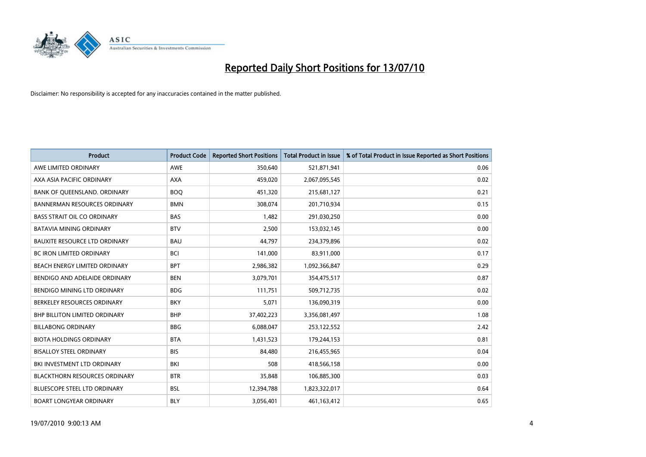

| <b>Product</b>                       | <b>Product Code</b> | <b>Reported Short Positions</b> | Total Product in Issue | % of Total Product in Issue Reported as Short Positions |
|--------------------------------------|---------------------|---------------------------------|------------------------|---------------------------------------------------------|
| AWE LIMITED ORDINARY                 | <b>AWE</b>          | 350,640                         | 521,871,941            | 0.06                                                    |
| AXA ASIA PACIFIC ORDINARY            | <b>AXA</b>          | 459,020                         | 2,067,095,545          | 0.02                                                    |
| BANK OF QUEENSLAND. ORDINARY         | <b>BOO</b>          | 451,320                         | 215,681,127            | 0.21                                                    |
| <b>BANNERMAN RESOURCES ORDINARY</b>  | <b>BMN</b>          | 308,074                         | 201,710,934            | 0.15                                                    |
| <b>BASS STRAIT OIL CO ORDINARY</b>   | <b>BAS</b>          | 1,482                           | 291,030,250            | 0.00                                                    |
| <b>BATAVIA MINING ORDINARY</b>       | <b>BTV</b>          | 2,500                           | 153,032,145            | 0.00                                                    |
| <b>BAUXITE RESOURCE LTD ORDINARY</b> | <b>BAU</b>          | 44,797                          | 234,379,896            | 0.02                                                    |
| BC IRON LIMITED ORDINARY             | <b>BCI</b>          | 141,000                         | 83,911,000             | 0.17                                                    |
| BEACH ENERGY LIMITED ORDINARY        | <b>BPT</b>          | 2,986,382                       | 1,092,366,847          | 0.29                                                    |
| BENDIGO AND ADELAIDE ORDINARY        | <b>BEN</b>          | 3,079,701                       | 354,475,517            | 0.87                                                    |
| BENDIGO MINING LTD ORDINARY          | <b>BDG</b>          | 111,751                         | 509,712,735            | 0.02                                                    |
| BERKELEY RESOURCES ORDINARY          | <b>BKY</b>          | 5,071                           | 136,090,319            | 0.00                                                    |
| <b>BHP BILLITON LIMITED ORDINARY</b> | <b>BHP</b>          | 37,402,223                      | 3,356,081,497          | 1.08                                                    |
| <b>BILLABONG ORDINARY</b>            | <b>BBG</b>          | 6,088,047                       | 253,122,552            | 2.42                                                    |
| <b>BIOTA HOLDINGS ORDINARY</b>       | <b>BTA</b>          | 1,431,523                       | 179,244,153            | 0.81                                                    |
| <b>BISALLOY STEEL ORDINARY</b>       | <b>BIS</b>          | 84,480                          | 216,455,965            | 0.04                                                    |
| BKI INVESTMENT LTD ORDINARY          | BKI                 | 508                             | 418,566,158            | 0.00                                                    |
| <b>BLACKTHORN RESOURCES ORDINARY</b> | <b>BTR</b>          | 35,848                          | 106,885,300            | 0.03                                                    |
| <b>BLUESCOPE STEEL LTD ORDINARY</b>  | <b>BSL</b>          | 12,394,788                      | 1,823,322,017          | 0.64                                                    |
| <b>BOART LONGYEAR ORDINARY</b>       | <b>BLY</b>          | 3,056,401                       | 461, 163, 412          | 0.65                                                    |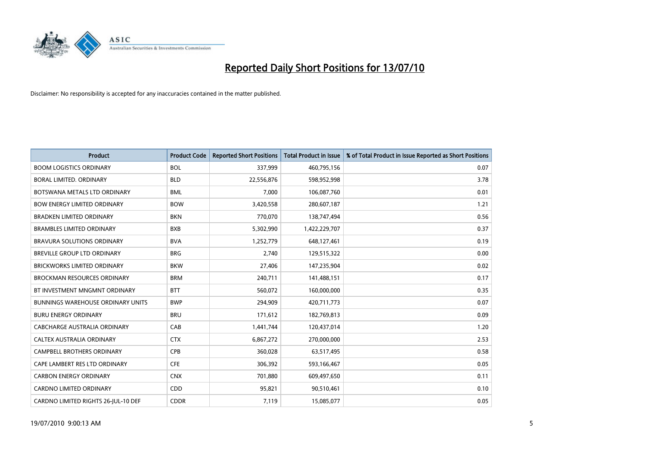

| <b>Product</b>                           | <b>Product Code</b> | <b>Reported Short Positions</b> | <b>Total Product in Issue</b> | % of Total Product in Issue Reported as Short Positions |
|------------------------------------------|---------------------|---------------------------------|-------------------------------|---------------------------------------------------------|
| <b>BOOM LOGISTICS ORDINARY</b>           | <b>BOL</b>          | 337,999                         | 460,795,156                   | 0.07                                                    |
| <b>BORAL LIMITED, ORDINARY</b>           | <b>BLD</b>          | 22,556,876                      | 598,952,998                   | 3.78                                                    |
| BOTSWANA METALS LTD ORDINARY             | <b>BML</b>          | 7,000                           | 106,087,760                   | 0.01                                                    |
| <b>BOW ENERGY LIMITED ORDINARY</b>       | <b>BOW</b>          | 3,420,558                       | 280,607,187                   | 1.21                                                    |
| <b>BRADKEN LIMITED ORDINARY</b>          | <b>BKN</b>          | 770.070                         | 138,747,494                   | 0.56                                                    |
| <b>BRAMBLES LIMITED ORDINARY</b>         | <b>BXB</b>          | 5,302,990                       | 1,422,229,707                 | 0.37                                                    |
| <b>BRAVURA SOLUTIONS ORDINARY</b>        | <b>BVA</b>          | 1,252,779                       | 648,127,461                   | 0.19                                                    |
| <b>BREVILLE GROUP LTD ORDINARY</b>       | <b>BRG</b>          | 2,740                           | 129,515,322                   | 0.00                                                    |
| <b>BRICKWORKS LIMITED ORDINARY</b>       | <b>BKW</b>          | 27,406                          | 147,235,904                   | 0.02                                                    |
| <b>BROCKMAN RESOURCES ORDINARY</b>       | <b>BRM</b>          | 240,711                         | 141,488,151                   | 0.17                                                    |
| BT INVESTMENT MNGMNT ORDINARY            | <b>BTT</b>          | 560,072                         | 160,000,000                   | 0.35                                                    |
| <b>BUNNINGS WAREHOUSE ORDINARY UNITS</b> | <b>BWP</b>          | 294,909                         | 420,711,773                   | 0.07                                                    |
| <b>BURU ENERGY ORDINARY</b>              | <b>BRU</b>          | 171,612                         | 182,769,813                   | 0.09                                                    |
| CABCHARGE AUSTRALIA ORDINARY             | CAB                 | 1,441,744                       | 120,437,014                   | 1.20                                                    |
| CALTEX AUSTRALIA ORDINARY                | <b>CTX</b>          | 6,867,272                       | 270,000,000                   | 2.53                                                    |
| <b>CAMPBELL BROTHERS ORDINARY</b>        | CPB                 | 360,028                         | 63,517,495                    | 0.58                                                    |
| CAPE LAMBERT RES LTD ORDINARY            | <b>CFE</b>          | 306,392                         | 593,166,467                   | 0.05                                                    |
| <b>CARBON ENERGY ORDINARY</b>            | <b>CNX</b>          | 701,880                         | 609,497,650                   | 0.11                                                    |
| CARDNO LIMITED ORDINARY                  | CDD                 | 95,821                          | 90,510,461                    | 0.10                                                    |
| CARDNO LIMITED RIGHTS 26-JUL-10 DEF      | <b>CDDR</b>         | 7,119                           | 15,085,077                    | 0.05                                                    |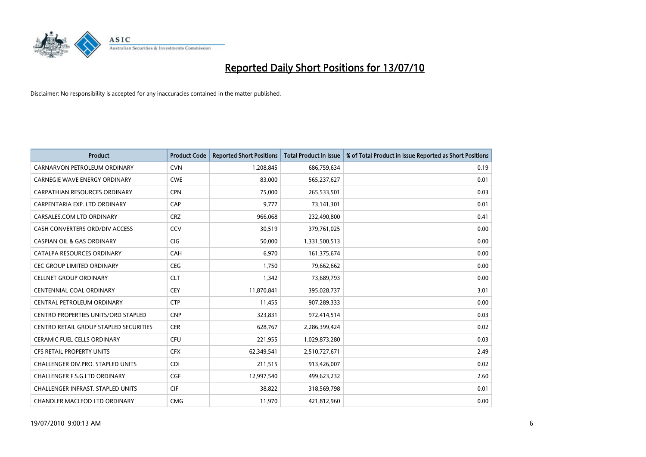

| <b>Product</b>                                | <b>Product Code</b> | <b>Reported Short Positions</b> | <b>Total Product in Issue</b> | % of Total Product in Issue Reported as Short Positions |
|-----------------------------------------------|---------------------|---------------------------------|-------------------------------|---------------------------------------------------------|
| CARNARVON PETROLEUM ORDINARY                  | <b>CVN</b>          | 1,208,845                       | 686,759,634                   | 0.19                                                    |
| CARNEGIE WAVE ENERGY ORDINARY                 | <b>CWE</b>          | 83,000                          | 565,237,627                   | 0.01                                                    |
| CARPATHIAN RESOURCES ORDINARY                 | <b>CPN</b>          | 75,000                          | 265,533,501                   | 0.03                                                    |
| CARPENTARIA EXP. LTD ORDINARY                 | CAP                 | 9,777                           | 73,141,301                    | 0.01                                                    |
| CARSALES.COM LTD ORDINARY                     | <b>CRZ</b>          | 966,068                         | 232,490,800                   | 0.41                                                    |
| CASH CONVERTERS ORD/DIV ACCESS                | CCV                 | 30,519                          | 379,761,025                   | 0.00                                                    |
| <b>CASPIAN OIL &amp; GAS ORDINARY</b>         | <b>CIG</b>          | 50.000                          | 1,331,500,513                 | 0.00                                                    |
| CATALPA RESOURCES ORDINARY                    | <b>CAH</b>          | 6,970                           | 161,375,674                   | 0.00                                                    |
| CEC GROUP LIMITED ORDINARY                    | <b>CEG</b>          | 1,750                           | 79,662,662                    | 0.00                                                    |
| <b>CELLNET GROUP ORDINARY</b>                 | <b>CLT</b>          | 1,342                           | 73,689,793                    | 0.00                                                    |
| CENTENNIAL COAL ORDINARY                      | <b>CEY</b>          | 11,870,841                      | 395,028,737                   | 3.01                                                    |
| CENTRAL PETROLEUM ORDINARY                    | <b>CTP</b>          | 11,455                          | 907,289,333                   | 0.00                                                    |
| <b>CENTRO PROPERTIES UNITS/ORD STAPLED</b>    | <b>CNP</b>          | 323,831                         | 972,414,514                   | 0.03                                                    |
| <b>CENTRO RETAIL GROUP STAPLED SECURITIES</b> | <b>CER</b>          | 628,767                         | 2,286,399,424                 | 0.02                                                    |
| <b>CERAMIC FUEL CELLS ORDINARY</b>            | <b>CFU</b>          | 221,955                         | 1,029,873,280                 | 0.03                                                    |
| CFS RETAIL PROPERTY UNITS                     | <b>CFX</b>          | 62,349,541                      | 2,510,727,671                 | 2.49                                                    |
| <b>CHALLENGER DIV.PRO. STAPLED UNITS</b>      | <b>CDI</b>          | 211,515                         | 913,426,007                   | 0.02                                                    |
| CHALLENGER F.S.G.LTD ORDINARY                 | <b>CGF</b>          | 12,997,540                      | 499,623,232                   | 2.60                                                    |
| CHALLENGER INFRAST. STAPLED UNITS             | <b>CIF</b>          | 38.822                          | 318,569,798                   | 0.01                                                    |
| CHANDLER MACLEOD LTD ORDINARY                 | <b>CMG</b>          | 11.970                          | 421,812,960                   | 0.00                                                    |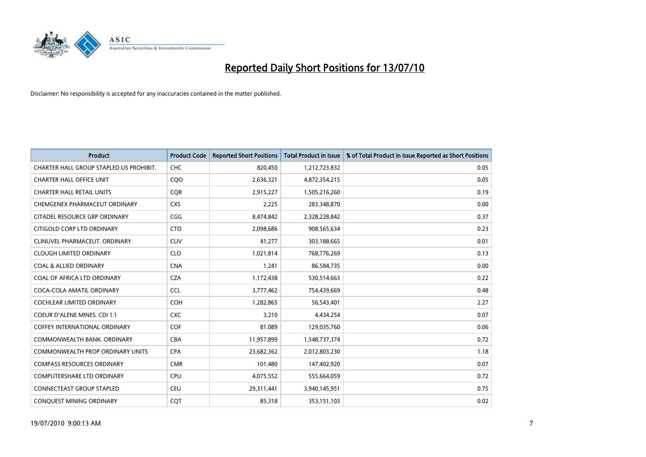

| <b>Product</b>                          | <b>Product Code</b> | <b>Reported Short Positions</b> | <b>Total Product in Issue</b> | % of Total Product in Issue Reported as Short Positions |
|-----------------------------------------|---------------------|---------------------------------|-------------------------------|---------------------------------------------------------|
| CHARTER HALL GROUP STAPLED US PROHIBIT. | <b>CHC</b>          | 820,450                         | 1,212,723,832                 | 0.05                                                    |
| <b>CHARTER HALL OFFICE UNIT</b>         | C <sub>O</sub> O    | 2,636,321                       | 4,872,354,215                 | 0.05                                                    |
| <b>CHARTER HALL RETAIL UNITS</b>        | <b>COR</b>          | 2,915,227                       | 1,505,216,260                 | 0.19                                                    |
| CHEMGENEX PHARMACEUT ORDINARY           | <b>CXS</b>          | 2,225                           | 283,348,870                   | 0.00                                                    |
| CITADEL RESOURCE GRP ORDINARY           | CGG                 | 8,474,842                       | 2,328,228,842                 | 0.37                                                    |
| CITIGOLD CORP LTD ORDINARY              | <b>CTO</b>          | 2,098,686                       | 908,565,634                   | 0.23                                                    |
| CLINUVEL PHARMACEUT. ORDINARY           | <b>CUV</b>          | 41,277                          | 303,188,665                   | 0.01                                                    |
| <b>CLOUGH LIMITED ORDINARY</b>          | <b>CLO</b>          | 1,021,814                       | 768,776,269                   | 0.13                                                    |
| <b>COAL &amp; ALLIED ORDINARY</b>       | <b>CNA</b>          | 1,241                           | 86,584,735                    | 0.00                                                    |
| COAL OF AFRICA LTD ORDINARY             | <b>CZA</b>          | 1,172,438                       | 530,514,663                   | 0.22                                                    |
| COCA-COLA AMATIL ORDINARY               | <b>CCL</b>          | 3,777,462                       | 754,439,669                   | 0.48                                                    |
| <b>COCHLEAR LIMITED ORDINARY</b>        | <b>COH</b>          | 1,282,865                       | 56,543,401                    | 2.27                                                    |
| COEUR D'ALENE MINES. CDI 1:1            | <b>CXC</b>          | 3,210                           | 4,434,254                     | 0.07                                                    |
| <b>COFFEY INTERNATIONAL ORDINARY</b>    | <b>COF</b>          | 81,089                          | 129,035,760                   | 0.06                                                    |
| COMMONWEALTH BANK, ORDINARY             | <b>CBA</b>          | 11,957,899                      | 1,548,737,374                 | 0.72                                                    |
| <b>COMMONWEALTH PROP ORDINARY UNITS</b> | <b>CPA</b>          | 23,682,362                      | 2,012,803,230                 | 1.18                                                    |
| <b>COMPASS RESOURCES ORDINARY</b>       | <b>CMR</b>          | 101,480                         | 147,402,920                   | 0.07                                                    |
| COMPUTERSHARE LTD ORDINARY              | CPU                 | 4,075,552                       | 555,664,059                   | 0.72                                                    |
| <b>CONNECTEAST GROUP STAPLED</b>        | <b>CEU</b>          | 29,311,441                      | 3,940,145,951                 | 0.75                                                    |
| CONQUEST MINING ORDINARY                | COT                 | 85,318                          | 353,151,103                   | 0.02                                                    |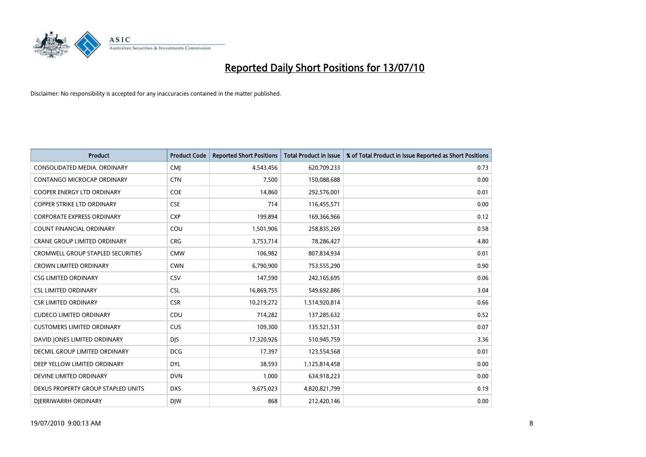

| <b>Product</b>                           | <b>Product Code</b> | <b>Reported Short Positions</b> | Total Product in Issue | % of Total Product in Issue Reported as Short Positions |
|------------------------------------------|---------------------|---------------------------------|------------------------|---------------------------------------------------------|
| CONSOLIDATED MEDIA, ORDINARY             | CMJ                 | 4,543,456                       | 620,709,233            | 0.73                                                    |
| CONTANGO MICROCAP ORDINARY               | <b>CTN</b>          | 7,500                           | 150,088,688            | 0.00                                                    |
| <b>COOPER ENERGY LTD ORDINARY</b>        | <b>COE</b>          | 14,860                          | 292,576,001            | 0.01                                                    |
| COPPER STRIKE LTD ORDINARY               | <b>CSE</b>          | 714                             | 116,455,571            | 0.00                                                    |
| <b>CORPORATE EXPRESS ORDINARY</b>        | <b>CXP</b>          | 199,894                         | 169,366,966            | 0.12                                                    |
| <b>COUNT FINANCIAL ORDINARY</b>          | COU                 | 1,501,906                       | 258,835,269            | 0.58                                                    |
| <b>CRANE GROUP LIMITED ORDINARY</b>      | <b>CRG</b>          | 3,753,714                       | 78,286,427             | 4.80                                                    |
| <b>CROMWELL GROUP STAPLED SECURITIES</b> | <b>CMW</b>          | 106,982                         | 807,834,934            | 0.01                                                    |
| <b>CROWN LIMITED ORDINARY</b>            | <b>CWN</b>          | 6,790,900                       | 753,555,290            | 0.90                                                    |
| <b>CSG LIMITED ORDINARY</b>              | CSV                 | 147,590                         | 242,165,695            | 0.06                                                    |
| <b>CSL LIMITED ORDINARY</b>              | <b>CSL</b>          | 16,869,755                      | 549,692,886            | 3.04                                                    |
| <b>CSR LIMITED ORDINARY</b>              | <b>CSR</b>          | 10,219,272                      | 1,514,920,814          | 0.66                                                    |
| <b>CUDECO LIMITED ORDINARY</b>           | CDU                 | 714,282                         | 137,285,632            | 0.52                                                    |
| <b>CUSTOMERS LIMITED ORDINARY</b>        | CUS                 | 109,300                         | 135,521,531            | 0.07                                                    |
| DAVID JONES LIMITED ORDINARY             | <b>DJS</b>          | 17,320,926                      | 510,945,759            | 3.36                                                    |
| DECMIL GROUP LIMITED ORDINARY            | <b>DCG</b>          | 17,397                          | 123,554,568            | 0.01                                                    |
| DEEP YELLOW LIMITED ORDINARY             | <b>DYL</b>          | 38,593                          | 1,125,814,458          | 0.00                                                    |
| DEVINE LIMITED ORDINARY                  | <b>DVN</b>          | 1,000                           | 634,918,223            | 0.00                                                    |
| DEXUS PROPERTY GROUP STAPLED UNITS       | <b>DXS</b>          | 9,675,023                       | 4,820,821,799          | 0.19                                                    |
| DIERRIWARRH ORDINARY                     | <b>DIW</b>          | 868                             | 212,420,146            | 0.00                                                    |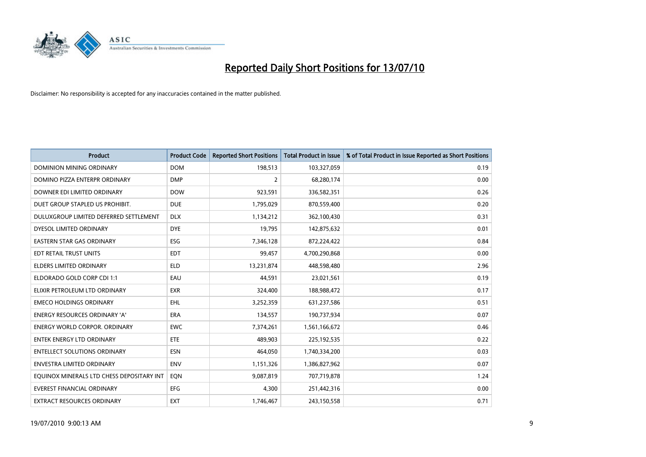

| <b>Product</b>                            | <b>Product Code</b> | <b>Reported Short Positions</b> | <b>Total Product in Issue</b> | % of Total Product in Issue Reported as Short Positions |
|-------------------------------------------|---------------------|---------------------------------|-------------------------------|---------------------------------------------------------|
| <b>DOMINION MINING ORDINARY</b>           | <b>DOM</b>          | 198,513                         | 103,327,059                   | 0.19                                                    |
| DOMINO PIZZA ENTERPR ORDINARY             | <b>DMP</b>          | 2                               | 68,280,174                    | 0.00                                                    |
| DOWNER EDI LIMITED ORDINARY               | <b>DOW</b>          | 923,591                         | 336,582,351                   | 0.26                                                    |
| DUET GROUP STAPLED US PROHIBIT.           | <b>DUE</b>          | 1,795,029                       | 870,559,400                   | 0.20                                                    |
| DULUXGROUP LIMITED DEFERRED SETTLEMENT    | <b>DLX</b>          | 1,134,212                       | 362,100,430                   | 0.31                                                    |
| DYESOL LIMITED ORDINARY                   | <b>DYE</b>          | 19,795                          | 142,875,632                   | 0.01                                                    |
| EASTERN STAR GAS ORDINARY                 | ESG                 | 7,346,128                       | 872,224,422                   | 0.84                                                    |
| EDT RETAIL TRUST UNITS                    | <b>EDT</b>          | 99,457                          | 4,700,290,868                 | 0.00                                                    |
| <b>ELDERS LIMITED ORDINARY</b>            | <b>ELD</b>          | 13,231,874                      | 448,598,480                   | 2.96                                                    |
| ELDORADO GOLD CORP CDI 1:1                | EAU                 | 44,591                          | 23,021,561                    | 0.19                                                    |
| ELIXIR PETROLEUM LTD ORDINARY             | <b>EXR</b>          | 324,400                         | 188,988,472                   | 0.17                                                    |
| <b>EMECO HOLDINGS ORDINARY</b>            | EHL                 | 3,252,359                       | 631,237,586                   | 0.51                                                    |
| ENERGY RESOURCES ORDINARY 'A'             | <b>ERA</b>          | 134,557                         | 190,737,934                   | 0.07                                                    |
| ENERGY WORLD CORPOR. ORDINARY             | <b>EWC</b>          | 7,374,261                       | 1,561,166,672                 | 0.46                                                    |
| <b>ENTEK ENERGY LTD ORDINARY</b>          | ETE                 | 489.903                         | 225,192,535                   | 0.22                                                    |
| <b>ENTELLECT SOLUTIONS ORDINARY</b>       | <b>ESN</b>          | 464,050                         | 1,740,334,200                 | 0.03                                                    |
| ENVESTRA LIMITED ORDINARY                 | <b>ENV</b>          | 1,151,326                       | 1,386,827,962                 | 0.07                                                    |
| EQUINOX MINERALS LTD CHESS DEPOSITARY INT | EQN                 | 9,087,819                       | 707,719,878                   | 1.24                                                    |
| <b>EVEREST FINANCIAL ORDINARY</b>         | EFG                 | 4,300                           | 251,442,316                   | 0.00                                                    |
| EXTRACT RESOURCES ORDINARY                | <b>EXT</b>          | 1,746,467                       | 243,150,558                   | 0.71                                                    |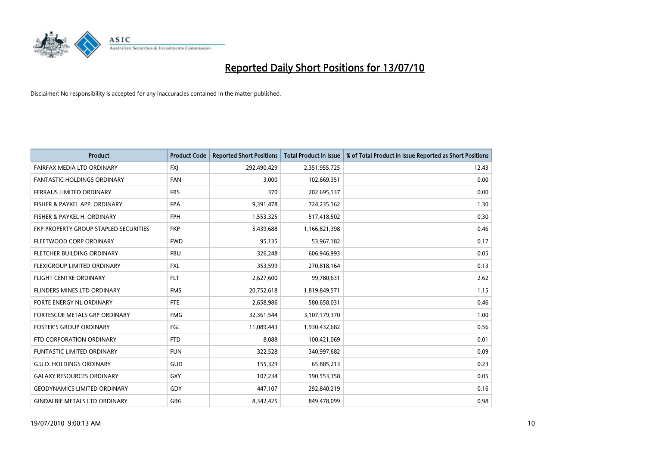

| <b>Product</b>                        | <b>Product Code</b> | <b>Reported Short Positions</b> | <b>Total Product in Issue</b> | % of Total Product in Issue Reported as Short Positions |
|---------------------------------------|---------------------|---------------------------------|-------------------------------|---------------------------------------------------------|
| FAIRFAX MEDIA LTD ORDINARY            | <b>FXJ</b>          | 292,490,429                     | 2,351,955,725                 | 12.43                                                   |
| <b>FANTASTIC HOLDINGS ORDINARY</b>    | <b>FAN</b>          | 3,000                           | 102,669,351                   | 0.00                                                    |
| FERRAUS LIMITED ORDINARY              | <b>FRS</b>          | 370                             | 202,695,137                   | 0.00                                                    |
| FISHER & PAYKEL APP. ORDINARY         | <b>FPA</b>          | 9,391,478                       | 724,235,162                   | 1.30                                                    |
| FISHER & PAYKEL H. ORDINARY           | <b>FPH</b>          | 1,553,325                       | 517,418,502                   | 0.30                                                    |
| FKP PROPERTY GROUP STAPLED SECURITIES | <b>FKP</b>          | 5,439,688                       | 1,166,821,398                 | 0.46                                                    |
| FLEETWOOD CORP ORDINARY               | <b>FWD</b>          | 95,135                          | 53,967,182                    | 0.17                                                    |
| FLETCHER BUILDING ORDINARY            | <b>FBU</b>          | 326,248                         | 606,946,993                   | 0.05                                                    |
| FLEXIGROUP LIMITED ORDINARY           | <b>FXL</b>          | 353,599                         | 270,818,164                   | 0.13                                                    |
| <b>FLIGHT CENTRE ORDINARY</b>         | <b>FLT</b>          | 2,627,600                       | 99,780,631                    | 2.62                                                    |
| FLINDERS MINES LTD ORDINARY           | <b>FMS</b>          | 20,752,618                      | 1,819,849,571                 | 1.15                                                    |
| FORTE ENERGY NL ORDINARY              | <b>FTE</b>          | 2,658,986                       | 580,658,031                   | 0.46                                                    |
| FORTESCUE METALS GRP ORDINARY         | <b>FMG</b>          | 32,361,544                      | 3,107,179,370                 | 1.00                                                    |
| <b>FOSTER'S GROUP ORDINARY</b>        | FGL                 | 11,089,443                      | 1,930,432,682                 | 0.56                                                    |
| FTD CORPORATION ORDINARY              | <b>FTD</b>          | 8,088                           | 100,421,069                   | 0.01                                                    |
| <b>FUNTASTIC LIMITED ORDINARY</b>     | <b>FUN</b>          | 322,528                         | 340,997,682                   | 0.09                                                    |
| <b>G.U.D. HOLDINGS ORDINARY</b>       | GUD                 | 155,329                         | 65,885,213                    | 0.23                                                    |
| <b>GALAXY RESOURCES ORDINARY</b>      | <b>GXY</b>          | 107,234                         | 190,553,358                   | 0.05                                                    |
| <b>GEODYNAMICS LIMITED ORDINARY</b>   | GDY                 | 447,107                         | 292,840,219                   | 0.16                                                    |
| <b>GINDALBIE METALS LTD ORDINARY</b>  | <b>GBG</b>          | 8,342,425                       | 849,478,099                   | 0.98                                                    |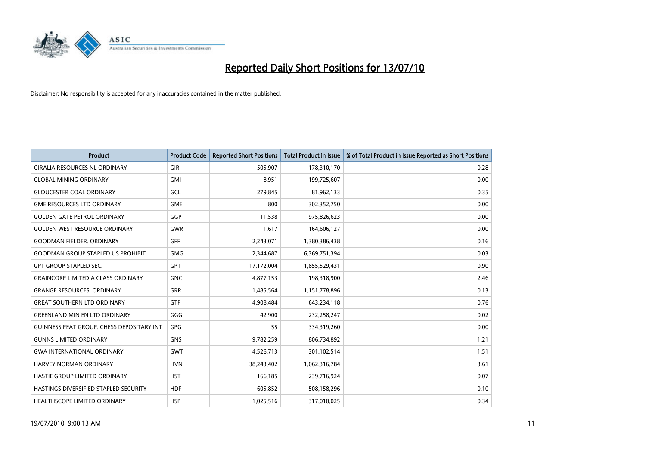

| <b>Product</b>                                   | <b>Product Code</b> | <b>Reported Short Positions</b> | <b>Total Product in Issue</b> | % of Total Product in Issue Reported as Short Positions |
|--------------------------------------------------|---------------------|---------------------------------|-------------------------------|---------------------------------------------------------|
| <b>GIRALIA RESOURCES NL ORDINARY</b>             | GIR                 | 505,907                         | 178,310,170                   | 0.28                                                    |
| <b>GLOBAL MINING ORDINARY</b>                    | <b>GMI</b>          | 8,951                           | 199,725,607                   | 0.00                                                    |
| <b>GLOUCESTER COAL ORDINARY</b>                  | GCL                 | 279,845                         | 81,962,133                    | 0.35                                                    |
| <b>GME RESOURCES LTD ORDINARY</b>                | <b>GME</b>          | 800                             | 302,352,750                   | 0.00                                                    |
| <b>GOLDEN GATE PETROL ORDINARY</b>               | GGP                 | 11,538                          | 975,826,623                   | 0.00                                                    |
| <b>GOLDEN WEST RESOURCE ORDINARY</b>             | <b>GWR</b>          | 1,617                           | 164,606,127                   | 0.00                                                    |
| <b>GOODMAN FIELDER. ORDINARY</b>                 | <b>GFF</b>          | 2,243,071                       | 1,380,386,438                 | 0.16                                                    |
| <b>GOODMAN GROUP STAPLED US PROHIBIT.</b>        | <b>GMG</b>          | 2,344,687                       | 6,369,751,394                 | 0.03                                                    |
| <b>GPT GROUP STAPLED SEC.</b>                    | GPT                 | 17,172,004                      | 1,855,529,431                 | 0.90                                                    |
| <b>GRAINCORP LIMITED A CLASS ORDINARY</b>        | <b>GNC</b>          | 4,877,153                       | 198,318,900                   | 2.46                                                    |
| <b>GRANGE RESOURCES. ORDINARY</b>                | <b>GRR</b>          | 1,485,564                       | 1,151,778,896                 | 0.13                                                    |
| <b>GREAT SOUTHERN LTD ORDINARY</b>               | GTP                 | 4,908,484                       | 643,234,118                   | 0.76                                                    |
| <b>GREENLAND MIN EN LTD ORDINARY</b>             | GGG                 | 42,900                          | 232,258,247                   | 0.02                                                    |
| <b>GUINNESS PEAT GROUP. CHESS DEPOSITARY INT</b> | <b>GPG</b>          | 55                              | 334,319,260                   | 0.00                                                    |
| <b>GUNNS LIMITED ORDINARY</b>                    | <b>GNS</b>          | 9,782,259                       | 806,734,892                   | 1.21                                                    |
| <b>GWA INTERNATIONAL ORDINARY</b>                | <b>GWT</b>          | 4,526,713                       | 301,102,514                   | 1.51                                                    |
| HARVEY NORMAN ORDINARY                           | <b>HVN</b>          | 38,243,402                      | 1,062,316,784                 | 3.61                                                    |
| <b>HASTIE GROUP LIMITED ORDINARY</b>             | <b>HST</b>          | 166,185                         | 239,716,924                   | 0.07                                                    |
| HASTINGS DIVERSIFIED STAPLED SECURITY            | <b>HDF</b>          | 605,852                         | 508,158,296                   | 0.10                                                    |
| <b>HEALTHSCOPE LIMITED ORDINARY</b>              | <b>HSP</b>          | 1,025,516                       | 317,010,025                   | 0.34                                                    |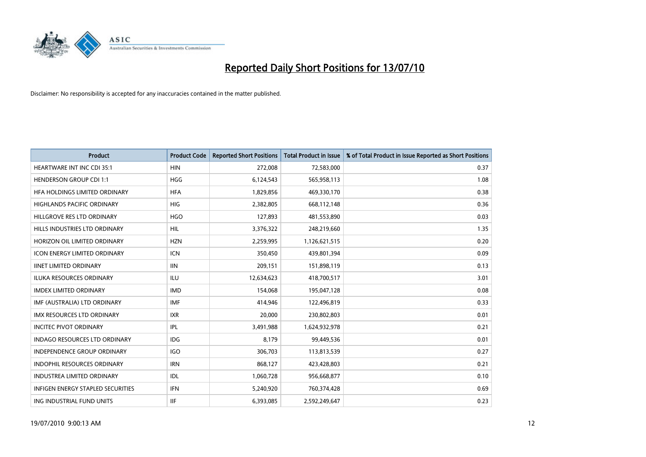

| <b>Product</b>                           | <b>Product Code</b> | <b>Reported Short Positions</b> | <b>Total Product in Issue</b> | % of Total Product in Issue Reported as Short Positions |
|------------------------------------------|---------------------|---------------------------------|-------------------------------|---------------------------------------------------------|
| <b>HEARTWARE INT INC CDI 35:1</b>        | <b>HIN</b>          | 272,008                         | 72,583,000                    | 0.37                                                    |
| <b>HENDERSON GROUP CDI 1:1</b>           | <b>HGG</b>          | 6,124,543                       | 565,958,113                   | 1.08                                                    |
| HFA HOLDINGS LIMITED ORDINARY            | <b>HFA</b>          | 1,829,856                       | 469,330,170                   | 0.38                                                    |
| HIGHLANDS PACIFIC ORDINARY               | <b>HIG</b>          | 2,382,805                       | 668,112,148                   | 0.36                                                    |
| HILLGROVE RES LTD ORDINARY               | <b>HGO</b>          | 127,893                         | 481,553,890                   | 0.03                                                    |
| HILLS INDUSTRIES LTD ORDINARY            | <b>HIL</b>          | 3,376,322                       | 248,219,660                   | 1.35                                                    |
| HORIZON OIL LIMITED ORDINARY             | <b>HZN</b>          | 2,259,995                       | 1,126,621,515                 | 0.20                                                    |
| <b>ICON ENERGY LIMITED ORDINARY</b>      | <b>ICN</b>          | 350,450                         | 439,801,394                   | 0.09                                                    |
| <b>IINET LIMITED ORDINARY</b>            | <b>IIN</b>          | 209,151                         | 151,898,119                   | 0.13                                                    |
| <b>ILUKA RESOURCES ORDINARY</b>          | <b>ILU</b>          | 12,634,623                      | 418,700,517                   | 3.01                                                    |
| <b>IMDEX LIMITED ORDINARY</b>            | <b>IMD</b>          | 154,068                         | 195,047,128                   | 0.08                                                    |
| IMF (AUSTRALIA) LTD ORDINARY             | <b>IMF</b>          | 414,946                         | 122,496,819                   | 0.33                                                    |
| IMX RESOURCES LTD ORDINARY               | <b>IXR</b>          | 20,000                          | 230,802,803                   | 0.01                                                    |
| <b>INCITEC PIVOT ORDINARY</b>            | <b>IPL</b>          | 3,491,988                       | 1,624,932,978                 | 0.21                                                    |
| <b>INDAGO RESOURCES LTD ORDINARY</b>     | <b>IDG</b>          | 8,179                           | 99,449,536                    | 0.01                                                    |
| <b>INDEPENDENCE GROUP ORDINARY</b>       | <b>IGO</b>          | 306,703                         | 113,813,539                   | 0.27                                                    |
| INDOPHIL RESOURCES ORDINARY              | <b>IRN</b>          | 868,127                         | 423,428,803                   | 0.21                                                    |
| <b>INDUSTREA LIMITED ORDINARY</b>        | <b>IDL</b>          | 1,060,728                       | 956,668,877                   | 0.10                                                    |
| <b>INFIGEN ENERGY STAPLED SECURITIES</b> | <b>IFN</b>          | 5,240,920                       | 760,374,428                   | 0.69                                                    |
| ING INDUSTRIAL FUND UNITS                | <b>IIF</b>          | 6,393,085                       | 2,592,249,647                 | 0.23                                                    |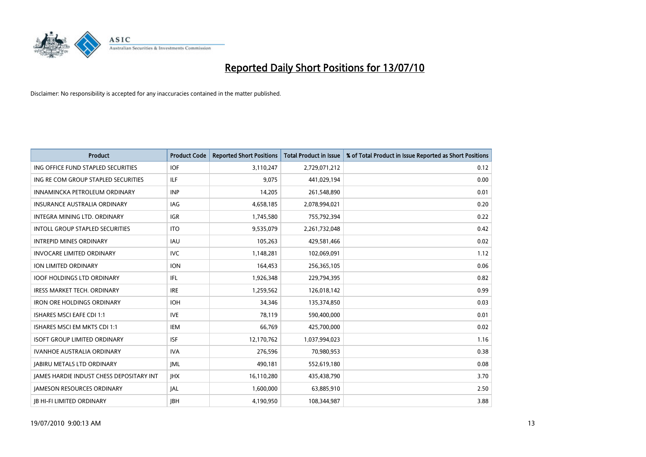

| <b>Product</b>                                  | <b>Product Code</b> | <b>Reported Short Positions</b> | <b>Total Product in Issue</b> | % of Total Product in Issue Reported as Short Positions |
|-------------------------------------------------|---------------------|---------------------------------|-------------------------------|---------------------------------------------------------|
| ING OFFICE FUND STAPLED SECURITIES              | <b>IOF</b>          | 3,110,247                       | 2,729,071,212                 | 0.12                                                    |
| ING RE COM GROUP STAPLED SECURITIES             | <b>ILF</b>          | 9,075                           | 441,029,194                   | 0.00                                                    |
| INNAMINCKA PETROLEUM ORDINARY                   | <b>INP</b>          | 14.205                          | 261,548,890                   | 0.01                                                    |
| INSURANCE AUSTRALIA ORDINARY                    | <b>IAG</b>          | 4,658,185                       | 2,078,994,021                 | 0.20                                                    |
| <b>INTEGRA MINING LTD, ORDINARY</b>             | <b>IGR</b>          | 1,745,580                       | 755,792,394                   | 0.22                                                    |
| <b>INTOLL GROUP STAPLED SECURITIES</b>          | <b>ITO</b>          | 9,535,079                       | 2,261,732,048                 | 0.42                                                    |
| <b>INTREPID MINES ORDINARY</b>                  | <b>IAU</b>          | 105,263                         | 429,581,466                   | 0.02                                                    |
| <b>INVOCARE LIMITED ORDINARY</b>                | <b>IVC</b>          | 1,148,281                       | 102,069,091                   | 1.12                                                    |
| ION LIMITED ORDINARY                            | <b>ION</b>          | 164,453                         | 256,365,105                   | 0.06                                                    |
| <b>IOOF HOLDINGS LTD ORDINARY</b>               | IFL.                | 1,926,348                       | 229,794,395                   | 0.82                                                    |
| IRESS MARKET TECH. ORDINARY                     | <b>IRE</b>          | 1,259,562                       | 126,018,142                   | 0.99                                                    |
| <b>IRON ORE HOLDINGS ORDINARY</b>               | <b>IOH</b>          | 34.346                          | 135,374,850                   | 0.03                                                    |
| <b>ISHARES MSCI EAFE CDI 1:1</b>                | <b>IVE</b>          | 78,119                          | 590,400,000                   | 0.01                                                    |
| ISHARES MSCI EM MKTS CDI 1:1                    | <b>IEM</b>          | 66,769                          | 425,700,000                   | 0.02                                                    |
| <b>ISOFT GROUP LIMITED ORDINARY</b>             | <b>ISF</b>          | 12,170,762                      | 1,037,994,023                 | 1.16                                                    |
| IVANHOE AUSTRALIA ORDINARY                      | <b>IVA</b>          | 276,596                         | 70,980,953                    | 0.38                                                    |
| <b>JABIRU METALS LTD ORDINARY</b>               | <b>JML</b>          | 490,181                         | 552,619,180                   | 0.08                                                    |
| <b>JAMES HARDIE INDUST CHESS DEPOSITARY INT</b> | JHX                 | 16,110,280                      | 435,438,790                   | 3.70                                                    |
| <b>IAMESON RESOURCES ORDINARY</b>               | <b>JAL</b>          | 1,600,000                       | 63,885,910                    | 2.50                                                    |
| <b>IB HI-FI LIMITED ORDINARY</b>                | <b>IBH</b>          | 4,190,950                       | 108,344,987                   | 3.88                                                    |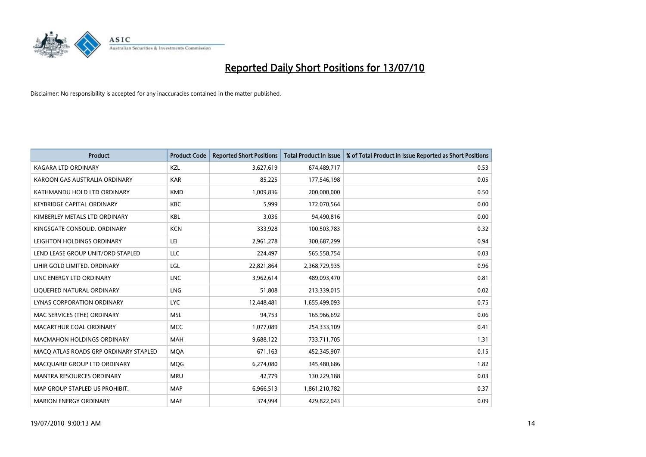

| <b>Product</b>                        | <b>Product Code</b> | <b>Reported Short Positions</b> | <b>Total Product in Issue</b> | % of Total Product in Issue Reported as Short Positions |
|---------------------------------------|---------------------|---------------------------------|-------------------------------|---------------------------------------------------------|
| <b>KAGARA LTD ORDINARY</b>            | KZL                 | 3,627,619                       | 674,489,717                   | 0.53                                                    |
| KAROON GAS AUSTRALIA ORDINARY         | <b>KAR</b>          | 85,225                          | 177,546,198                   | 0.05                                                    |
| KATHMANDU HOLD LTD ORDINARY           | <b>KMD</b>          | 1,009,836                       | 200,000,000                   | 0.50                                                    |
| KEYBRIDGE CAPITAL ORDINARY            | <b>KBC</b>          | 5,999                           | 172,070,564                   | 0.00                                                    |
| KIMBERLEY METALS LTD ORDINARY         | <b>KBL</b>          | 3.036                           | 94,490,816                    | 0.00                                                    |
| KINGSGATE CONSOLID, ORDINARY          | <b>KCN</b>          | 333,928                         | 100,503,783                   | 0.32                                                    |
| LEIGHTON HOLDINGS ORDINARY            | LEI                 | 2,961,278                       | 300,687,299                   | 0.94                                                    |
| LEND LEASE GROUP UNIT/ORD STAPLED     | LLC                 | 224,497                         | 565,558,754                   | 0.03                                                    |
| LIHIR GOLD LIMITED. ORDINARY          | LGL                 | 22,821,864                      | 2,368,729,935                 | 0.96                                                    |
| LINC ENERGY LTD ORDINARY              | <b>LNC</b>          | 3,962,614                       | 489,093,470                   | 0.81                                                    |
| LIQUEFIED NATURAL ORDINARY            | LNG                 | 51,808                          | 213,339,015                   | 0.02                                                    |
| <b>LYNAS CORPORATION ORDINARY</b>     | <b>LYC</b>          | 12,448,481                      | 1,655,499,093                 | 0.75                                                    |
| MAC SERVICES (THE) ORDINARY           | <b>MSL</b>          | 94,753                          | 165,966,692                   | 0.06                                                    |
| MACARTHUR COAL ORDINARY               | <b>MCC</b>          | 1,077,089                       | 254,333,109                   | 0.41                                                    |
| <b>MACMAHON HOLDINGS ORDINARY</b>     | <b>MAH</b>          | 9,688,122                       | 733,711,705                   | 1.31                                                    |
| MACO ATLAS ROADS GRP ORDINARY STAPLED | <b>MOA</b>          | 671,163                         | 452,345,907                   | 0.15                                                    |
| MACQUARIE GROUP LTD ORDINARY          | <b>MQG</b>          | 6,274,080                       | 345,480,686                   | 1.82                                                    |
| MANTRA RESOURCES ORDINARY             | <b>MRU</b>          | 42,779                          | 130,229,188                   | 0.03                                                    |
| MAP GROUP STAPLED US PROHIBIT.        | <b>MAP</b>          | 6,966,513                       | 1,861,210,782                 | 0.37                                                    |
| <b>MARION ENERGY ORDINARY</b>         | <b>MAE</b>          | 374.994                         | 429,822,043                   | 0.09                                                    |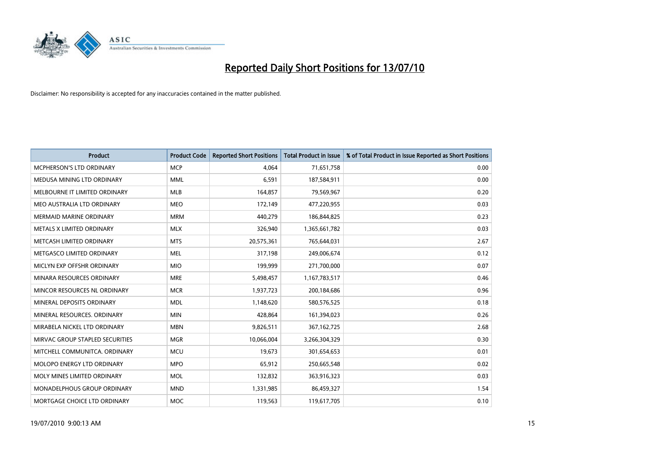

| <b>Product</b>                     | <b>Product Code</b> | <b>Reported Short Positions</b> | <b>Total Product in Issue</b> | % of Total Product in Issue Reported as Short Positions |
|------------------------------------|---------------------|---------------------------------|-------------------------------|---------------------------------------------------------|
| <b>MCPHERSON'S LTD ORDINARY</b>    | <b>MCP</b>          | 4.064                           | 71,651,758                    | 0.00                                                    |
| MEDUSA MINING LTD ORDINARY         | <b>MML</b>          | 6,591                           | 187,584,911                   | 0.00                                                    |
| MELBOURNE IT LIMITED ORDINARY      | <b>MLB</b>          | 164,857                         | 79,569,967                    | 0.20                                                    |
| MEO AUSTRALIA LTD ORDINARY         | <b>MEO</b>          | 172,149                         | 477,220,955                   | 0.03                                                    |
| <b>MERMAID MARINE ORDINARY</b>     | <b>MRM</b>          | 440,279                         | 186,844,825                   | 0.23                                                    |
| METALS X LIMITED ORDINARY          | <b>MLX</b>          | 326,940                         | 1,365,661,782                 | 0.03                                                    |
| METCASH LIMITED ORDINARY           | <b>MTS</b>          | 20,575,361                      | 765,644,031                   | 2.67                                                    |
| METGASCO LIMITED ORDINARY          | <b>MEL</b>          | 317,198                         | 249,006,674                   | 0.12                                                    |
| MICLYN EXP OFFSHR ORDINARY         | <b>MIO</b>          | 199,999                         | 271,700,000                   | 0.07                                                    |
| MINARA RESOURCES ORDINARY          | <b>MRE</b>          | 5,498,457                       | 1,167,783,517                 | 0.46                                                    |
| MINCOR RESOURCES NL ORDINARY       | <b>MCR</b>          | 1,937,723                       | 200,184,686                   | 0.96                                                    |
| MINERAL DEPOSITS ORDINARY          | <b>MDL</b>          | 1,148,620                       | 580,576,525                   | 0.18                                                    |
| MINERAL RESOURCES. ORDINARY        | <b>MIN</b>          | 428,864                         | 161,394,023                   | 0.26                                                    |
| MIRABELA NICKEL LTD ORDINARY       | <b>MBN</b>          | 9,826,511                       | 367,162,725                   | 2.68                                                    |
| MIRVAC GROUP STAPLED SECURITIES    | <b>MGR</b>          | 10,066,004                      | 3,266,304,329                 | 0.30                                                    |
| MITCHELL COMMUNITCA, ORDINARY      | <b>MCU</b>          | 19,673                          | 301,654,653                   | 0.01                                                    |
| MOLOPO ENERGY LTD ORDINARY         | <b>MPO</b>          | 65,912                          | 250,665,548                   | 0.02                                                    |
| MOLY MINES LIMITED ORDINARY        | <b>MOL</b>          | 132,832                         | 363,916,323                   | 0.03                                                    |
| <b>MONADELPHOUS GROUP ORDINARY</b> | <b>MND</b>          | 1,331,985                       | 86,459,327                    | 1.54                                                    |
| MORTGAGE CHOICE LTD ORDINARY       | <b>MOC</b>          | 119,563                         | 119,617,705                   | 0.10                                                    |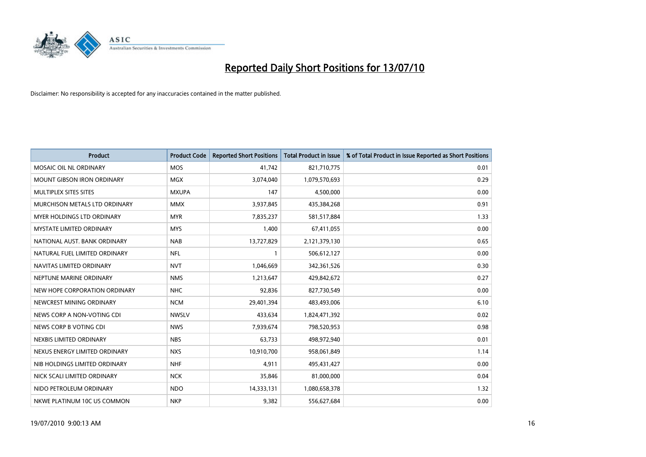

| <b>Product</b>                    | <b>Product Code</b> | <b>Reported Short Positions</b> | <b>Total Product in Issue</b> | % of Total Product in Issue Reported as Short Positions |
|-----------------------------------|---------------------|---------------------------------|-------------------------------|---------------------------------------------------------|
| MOSAIC OIL NL ORDINARY            | <b>MOS</b>          | 41,742                          | 821,710,775                   | 0.01                                                    |
| MOUNT GIBSON IRON ORDINARY        | <b>MGX</b>          | 3,074,040                       | 1,079,570,693                 | 0.29                                                    |
| MULTIPLEX SITES SITES             | <b>MXUPA</b>        | 147                             | 4,500,000                     | 0.00                                                    |
| MURCHISON METALS LTD ORDINARY     | <b>MMX</b>          | 3,937,845                       | 435,384,268                   | 0.91                                                    |
| <b>MYER HOLDINGS LTD ORDINARY</b> | <b>MYR</b>          | 7,835,237                       | 581,517,884                   | 1.33                                                    |
| <b>MYSTATE LIMITED ORDINARY</b>   | <b>MYS</b>          | 1,400                           | 67,411,055                    | 0.00                                                    |
| NATIONAL AUST. BANK ORDINARY      | <b>NAB</b>          | 13,727,829                      | 2,121,379,130                 | 0.65                                                    |
| NATURAL FUEL LIMITED ORDINARY     | <b>NFL</b>          |                                 | 506,612,127                   | 0.00                                                    |
| NAVITAS LIMITED ORDINARY          | <b>NVT</b>          | 1,046,669                       | 342,361,526                   | 0.30                                                    |
| NEPTUNE MARINE ORDINARY           | <b>NMS</b>          | 1,213,647                       | 429,842,672                   | 0.27                                                    |
| NEW HOPE CORPORATION ORDINARY     | <b>NHC</b>          | 92,836                          | 827,730,549                   | 0.00                                                    |
| NEWCREST MINING ORDINARY          | <b>NCM</b>          | 29,401,394                      | 483,493,006                   | 6.10                                                    |
| NEWS CORP A NON-VOTING CDI        | <b>NWSLV</b>        | 433,634                         | 1,824,471,392                 | 0.02                                                    |
| NEWS CORP B VOTING CDI            | <b>NWS</b>          | 7,939,674                       | 798,520,953                   | 0.98                                                    |
| NEXBIS LIMITED ORDINARY           | <b>NBS</b>          | 63,733                          | 498,972,940                   | 0.01                                                    |
| NEXUS ENERGY LIMITED ORDINARY     | <b>NXS</b>          | 10,910,700                      | 958,061,849                   | 1.14                                                    |
| NIB HOLDINGS LIMITED ORDINARY     | <b>NHF</b>          | 4,911                           | 495,431,427                   | 0.00                                                    |
| NICK SCALI LIMITED ORDINARY       | <b>NCK</b>          | 35,846                          | 81,000,000                    | 0.04                                                    |
| NIDO PETROLEUM ORDINARY           | <b>NDO</b>          | 14,333,131                      | 1,080,658,378                 | 1.32                                                    |
| NKWE PLATINUM 10C US COMMON       | <b>NKP</b>          | 9,382                           | 556,627,684                   | 0.00                                                    |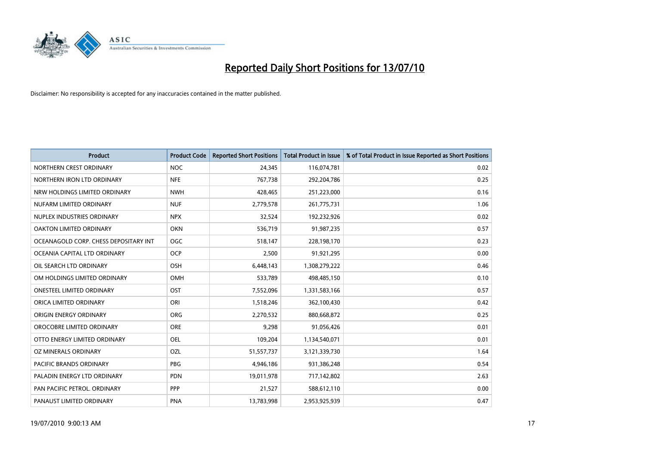

| <b>Product</b>                        | <b>Product Code</b> | <b>Reported Short Positions</b> | <b>Total Product in Issue</b> | % of Total Product in Issue Reported as Short Positions |
|---------------------------------------|---------------------|---------------------------------|-------------------------------|---------------------------------------------------------|
| NORTHERN CREST ORDINARY               | <b>NOC</b>          | 24,345                          | 116,074,781                   | 0.02                                                    |
| NORTHERN IRON LTD ORDINARY            | <b>NFE</b>          | 767,738                         | 292,204,786                   | 0.25                                                    |
| NRW HOLDINGS LIMITED ORDINARY         | <b>NWH</b>          | 428,465                         | 251,223,000                   | 0.16                                                    |
| NUFARM LIMITED ORDINARY               | <b>NUF</b>          | 2,779,578                       | 261,775,731                   | 1.06                                                    |
| NUPLEX INDUSTRIES ORDINARY            | <b>NPX</b>          | 32,524                          | 192,232,926                   | 0.02                                                    |
| OAKTON LIMITED ORDINARY               | <b>OKN</b>          | 536,719                         | 91,987,235                    | 0.57                                                    |
| OCEANAGOLD CORP. CHESS DEPOSITARY INT | <b>OGC</b>          | 518,147                         | 228,198,170                   | 0.23                                                    |
| OCEANIA CAPITAL LTD ORDINARY          | <b>OCP</b>          | 2,500                           | 91,921,295                    | 0.00                                                    |
| OIL SEARCH LTD ORDINARY               | <b>OSH</b>          | 6,448,143                       | 1,308,279,222                 | 0.46                                                    |
| OM HOLDINGS LIMITED ORDINARY          | <b>OMH</b>          | 533,789                         | 498,485,150                   | 0.10                                                    |
| <b>ONESTEEL LIMITED ORDINARY</b>      | <b>OST</b>          | 7,552,096                       | 1,331,583,166                 | 0.57                                                    |
| ORICA LIMITED ORDINARY                | ORI                 | 1,518,246                       | 362,100,430                   | 0.42                                                    |
| ORIGIN ENERGY ORDINARY                | <b>ORG</b>          | 2,270,532                       | 880,668,872                   | 0.25                                                    |
| OROCOBRE LIMITED ORDINARY             | <b>ORE</b>          | 9,298                           | 91,056,426                    | 0.01                                                    |
| OTTO ENERGY LIMITED ORDINARY          | <b>OEL</b>          | 109,204                         | 1,134,540,071                 | 0.01                                                    |
| OZ MINERALS ORDINARY                  | OZL                 | 51,557,737                      | 3,121,339,730                 | 1.64                                                    |
| <b>PACIFIC BRANDS ORDINARY</b>        | <b>PBG</b>          | 4,946,186                       | 931,386,248                   | 0.54                                                    |
| PALADIN ENERGY LTD ORDINARY           | <b>PDN</b>          | 19,011,978                      | 717,142,802                   | 2.63                                                    |
| PAN PACIFIC PETROL. ORDINARY          | <b>PPP</b>          | 21,527                          | 588,612,110                   | 0.00                                                    |
| PANAUST LIMITED ORDINARY              | <b>PNA</b>          | 13,783,998                      | 2,953,925,939                 | 0.47                                                    |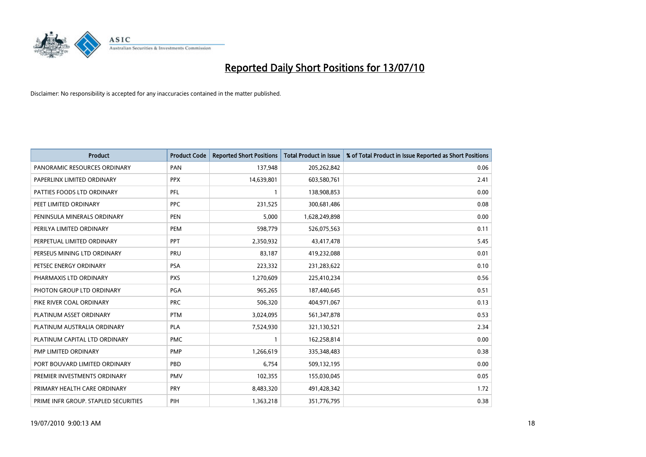

| <b>Product</b>                       | <b>Product Code</b> | <b>Reported Short Positions</b> | Total Product in Issue | % of Total Product in Issue Reported as Short Positions |
|--------------------------------------|---------------------|---------------------------------|------------------------|---------------------------------------------------------|
| PANORAMIC RESOURCES ORDINARY         | PAN                 | 137,948                         | 205,262,842            | 0.06                                                    |
| PAPERLINX LIMITED ORDINARY           | <b>PPX</b>          | 14,639,801                      | 603,580,761            | 2.41                                                    |
| PATTIES FOODS LTD ORDINARY           | PFL                 |                                 | 138,908,853            | 0.00                                                    |
| PEET LIMITED ORDINARY                | <b>PPC</b>          | 231,525                         | 300,681,486            | 0.08                                                    |
| PENINSULA MINERALS ORDINARY          | <b>PEN</b>          | 5,000                           | 1,628,249,898          | 0.00                                                    |
| PERILYA LIMITED ORDINARY             | PEM                 | 598,779                         | 526,075,563            | 0.11                                                    |
| PERPETUAL LIMITED ORDINARY           | PPT                 | 2,350,932                       | 43,417,478             | 5.45                                                    |
| PERSEUS MINING LTD ORDINARY          | PRU                 | 83,187                          | 419,232,088            | 0.01                                                    |
| PETSEC ENERGY ORDINARY               | <b>PSA</b>          | 223,332                         | 231,283,622            | 0.10                                                    |
| PHARMAXIS LTD ORDINARY               | <b>PXS</b>          | 1,270,609                       | 225,410,234            | 0.56                                                    |
| PHOTON GROUP LTD ORDINARY            | PGA                 | 965,265                         | 187,440,645            | 0.51                                                    |
| PIKE RIVER COAL ORDINARY             | <b>PRC</b>          | 506,320                         | 404,971,067            | 0.13                                                    |
| PLATINUM ASSET ORDINARY              | <b>PTM</b>          | 3,024,095                       | 561,347,878            | 0.53                                                    |
| PLATINUM AUSTRALIA ORDINARY          | <b>PLA</b>          | 7,524,930                       | 321,130,521            | 2.34                                                    |
| PLATINUM CAPITAL LTD ORDINARY        | <b>PMC</b>          |                                 | 162,258,814            | 0.00                                                    |
| PMP LIMITED ORDINARY                 | <b>PMP</b>          | 1,266,619                       | 335,348,483            | 0.38                                                    |
| PORT BOUVARD LIMITED ORDINARY        | PBD                 | 6,754                           | 509,132,195            | 0.00                                                    |
| PREMIER INVESTMENTS ORDINARY         | <b>PMV</b>          | 102,355                         | 155,030,045            | 0.05                                                    |
| PRIMARY HEALTH CARE ORDINARY         | <b>PRY</b>          | 8,483,320                       | 491,428,342            | 1.72                                                    |
| PRIME INFR GROUP. STAPLED SECURITIES | PIH                 | 1,363,218                       | 351,776,795            | 0.38                                                    |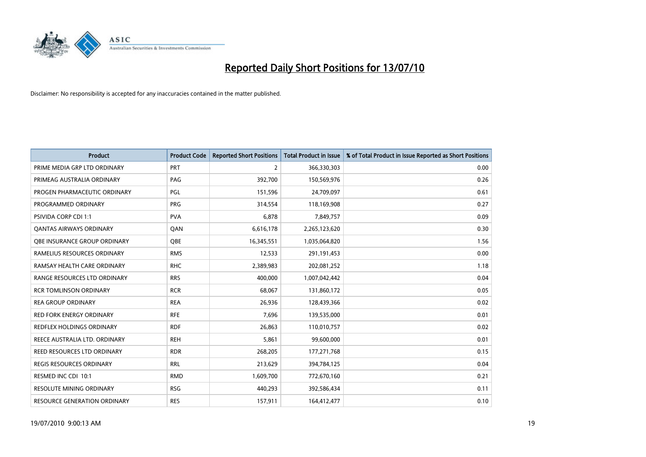

| <b>Product</b>                  | <b>Product Code</b> | <b>Reported Short Positions</b> | Total Product in Issue | % of Total Product in Issue Reported as Short Positions |
|---------------------------------|---------------------|---------------------------------|------------------------|---------------------------------------------------------|
| PRIME MEDIA GRP LTD ORDINARY    | <b>PRT</b>          | $\overline{2}$                  | 366,330,303            | 0.00                                                    |
| PRIMEAG AUSTRALIA ORDINARY      | PAG                 | 392,700                         | 150,569,976            | 0.26                                                    |
| PROGEN PHARMACEUTIC ORDINARY    | PGL                 | 151,596                         | 24,709,097             | 0.61                                                    |
| PROGRAMMED ORDINARY             | <b>PRG</b>          | 314,554                         | 118,169,908            | 0.27                                                    |
| <b>PSIVIDA CORP CDI 1:1</b>     | <b>PVA</b>          | 6,878                           | 7,849,757              | 0.09                                                    |
| <b>QANTAS AIRWAYS ORDINARY</b>  | QAN                 | 6,616,178                       | 2,265,123,620          | 0.30                                                    |
| OBE INSURANCE GROUP ORDINARY    | <b>OBE</b>          | 16,345,551                      | 1,035,064,820          | 1.56                                                    |
| RAMELIUS RESOURCES ORDINARY     | <b>RMS</b>          | 12,533                          | 291,191,453            | 0.00                                                    |
| RAMSAY HEALTH CARE ORDINARY     | <b>RHC</b>          | 2,389,983                       | 202,081,252            | 1.18                                                    |
| RANGE RESOURCES LTD ORDINARY    | <b>RRS</b>          | 400,000                         | 1,007,042,442          | 0.04                                                    |
| <b>RCR TOMLINSON ORDINARY</b>   | <b>RCR</b>          | 68,067                          | 131,860,172            | 0.05                                                    |
| <b>REA GROUP ORDINARY</b>       | <b>REA</b>          | 26,936                          | 128,439,366            | 0.02                                                    |
| RED FORK ENERGY ORDINARY        | <b>RFE</b>          | 7,696                           | 139,535,000            | 0.01                                                    |
| REDFLEX HOLDINGS ORDINARY       | <b>RDF</b>          | 26,863                          | 110,010,757            | 0.02                                                    |
| REECE AUSTRALIA LTD. ORDINARY   | <b>REH</b>          | 5,861                           | 99,600,000             | 0.01                                                    |
| REED RESOURCES LTD ORDINARY     | <b>RDR</b>          | 268,205                         | 177,271,768            | 0.15                                                    |
| REGIS RESOURCES ORDINARY        | <b>RRL</b>          | 213,629                         | 394,784,125            | 0.04                                                    |
| RESMED INC CDI 10:1             | <b>RMD</b>          | 1,609,700                       | 772,670,160            | 0.21                                                    |
| <b>RESOLUTE MINING ORDINARY</b> | <b>RSG</b>          | 440,293                         | 392,586,434            | 0.11                                                    |
| RESOURCE GENERATION ORDINARY    | <b>RES</b>          | 157,911                         | 164,412,477            | 0.10                                                    |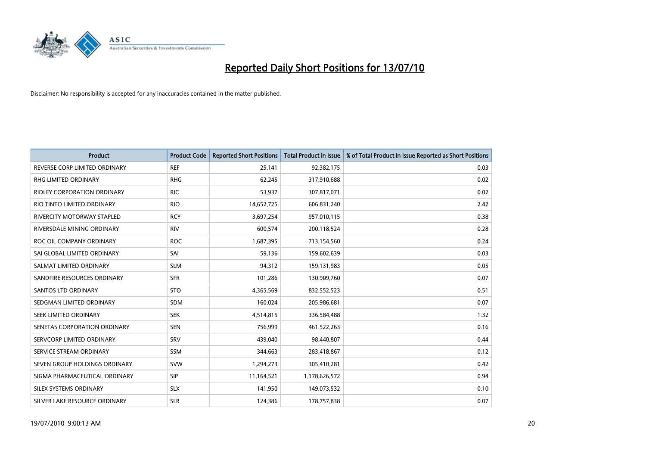

| <b>Product</b>                     | <b>Product Code</b> | <b>Reported Short Positions</b> | Total Product in Issue | % of Total Product in Issue Reported as Short Positions |
|------------------------------------|---------------------|---------------------------------|------------------------|---------------------------------------------------------|
| REVERSE CORP LIMITED ORDINARY      | <b>REF</b>          | 25,141                          | 92,382,175             | 0.03                                                    |
| RHG LIMITED ORDINARY               | <b>RHG</b>          | 62,245                          | 317,910,688            | 0.02                                                    |
| <b>RIDLEY CORPORATION ORDINARY</b> | <b>RIC</b>          | 53,937                          | 307,817,071            | 0.02                                                    |
| RIO TINTO LIMITED ORDINARY         | <b>RIO</b>          | 14,652,725                      | 606,831,240            | 2.42                                                    |
| <b>RIVERCITY MOTORWAY STAPLED</b>  | <b>RCY</b>          | 3,697,254                       | 957,010,115            | 0.38                                                    |
| RIVERSDALE MINING ORDINARY         | <b>RIV</b>          | 600,574                         | 200,118,524            | 0.28                                                    |
| ROC OIL COMPANY ORDINARY           | <b>ROC</b>          | 1,687,395                       | 713,154,560            | 0.24                                                    |
| SAI GLOBAL LIMITED ORDINARY        | SAI                 | 59,136                          | 159,602,639            | 0.03                                                    |
| SALMAT LIMITED ORDINARY            | <b>SLM</b>          | 94,312                          | 159,131,983            | 0.05                                                    |
| SANDFIRE RESOURCES ORDINARY        | <b>SFR</b>          | 101,286                         | 130,909,760            | 0.07                                                    |
| <b>SANTOS LTD ORDINARY</b>         | <b>STO</b>          | 4,365,569                       | 832,552,523            | 0.51                                                    |
| SEDGMAN LIMITED ORDINARY           | <b>SDM</b>          | 160,024                         | 205,986,681            | 0.07                                                    |
| SEEK LIMITED ORDINARY              | <b>SEK</b>          | 4,514,815                       | 336,584,488            | 1.32                                                    |
| SENETAS CORPORATION ORDINARY       | <b>SEN</b>          | 756,999                         | 461,522,263            | 0.16                                                    |
| SERVCORP LIMITED ORDINARY          | SRV                 | 439.040                         | 98,440,807             | 0.44                                                    |
| SERVICE STREAM ORDINARY            | <b>SSM</b>          | 344,663                         | 283,418,867            | 0.12                                                    |
| SEVEN GROUP HOLDINGS ORDINARY      | <b>SVW</b>          | 1,294,273                       | 305,410,281            | 0.42                                                    |
| SIGMA PHARMACEUTICAL ORDINARY      | SIP                 | 11,164,521                      | 1,178,626,572          | 0.94                                                    |
| SILEX SYSTEMS ORDINARY             | <b>SLX</b>          | 141,950                         | 149,073,532            | 0.10                                                    |
| SILVER LAKE RESOURCE ORDINARY      | <b>SLR</b>          | 124,386                         | 178,757,838            | 0.07                                                    |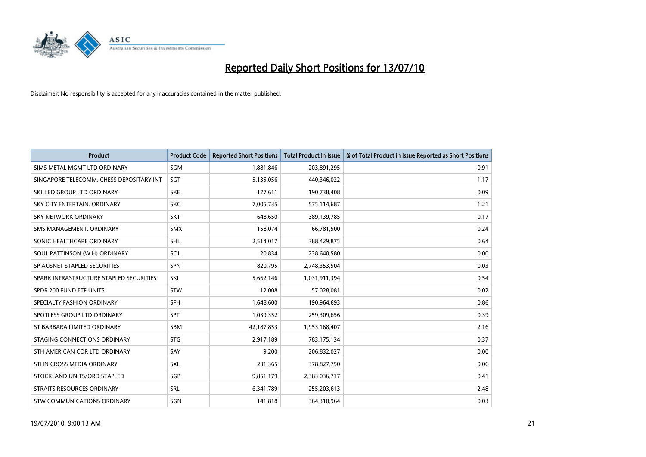

| <b>Product</b>                           | <b>Product Code</b> | <b>Reported Short Positions</b> | <b>Total Product in Issue</b> | % of Total Product in Issue Reported as Short Positions |
|------------------------------------------|---------------------|---------------------------------|-------------------------------|---------------------------------------------------------|
| SIMS METAL MGMT LTD ORDINARY             | SGM                 | 1,881,846                       | 203,891,295                   | 0.91                                                    |
| SINGAPORE TELECOMM. CHESS DEPOSITARY INT | SGT                 | 5,135,056                       | 440,346,022                   | 1.17                                                    |
| SKILLED GROUP LTD ORDINARY               | <b>SKE</b>          | 177,611                         | 190,738,408                   | 0.09                                                    |
| SKY CITY ENTERTAIN. ORDINARY             | <b>SKC</b>          | 7,005,735                       | 575,114,687                   | 1.21                                                    |
| <b>SKY NETWORK ORDINARY</b>              | <b>SKT</b>          | 648,650                         | 389,139,785                   | 0.17                                                    |
| SMS MANAGEMENT, ORDINARY                 | <b>SMX</b>          | 158,074                         | 66,781,500                    | 0.24                                                    |
| SONIC HEALTHCARE ORDINARY                | <b>SHL</b>          | 2,514,017                       | 388,429,875                   | 0.64                                                    |
| SOUL PATTINSON (W.H) ORDINARY            | SOL                 | 20,834                          | 238,640,580                   | 0.00                                                    |
| SP AUSNET STAPLED SECURITIES             | SPN                 | 820,795                         | 2,748,353,504                 | 0.03                                                    |
| SPARK INFRASTRUCTURE STAPLED SECURITIES  | SKI                 | 5,662,146                       | 1,031,911,394                 | 0.54                                                    |
| SPDR 200 FUND ETF UNITS                  | <b>STW</b>          | 12,008                          | 57,028,081                    | 0.02                                                    |
| SPECIALTY FASHION ORDINARY               | <b>SFH</b>          | 1,648,600                       | 190,964,693                   | 0.86                                                    |
| SPOTLESS GROUP LTD ORDINARY              | SPT                 | 1,039,352                       | 259,309,656                   | 0.39                                                    |
| ST BARBARA LIMITED ORDINARY              | <b>SBM</b>          | 42,187,853                      | 1,953,168,407                 | 2.16                                                    |
| STAGING CONNECTIONS ORDINARY             | <b>STG</b>          | 2,917,189                       | 783,175,134                   | 0.37                                                    |
| STH AMERICAN COR LTD ORDINARY            | SAY                 | 9,200                           | 206,832,027                   | 0.00                                                    |
| STHN CROSS MEDIA ORDINARY                | SXL                 | 231,365                         | 378,827,750                   | 0.06                                                    |
| STOCKLAND UNITS/ORD STAPLED              | SGP                 | 9,851,179                       | 2,383,036,717                 | 0.41                                                    |
| <b>STRAITS RESOURCES ORDINARY</b>        | SRL                 | 6,341,789                       | 255,203,613                   | 2.48                                                    |
| STW COMMUNICATIONS ORDINARY              | SGN                 | 141,818                         | 364,310,964                   | 0.03                                                    |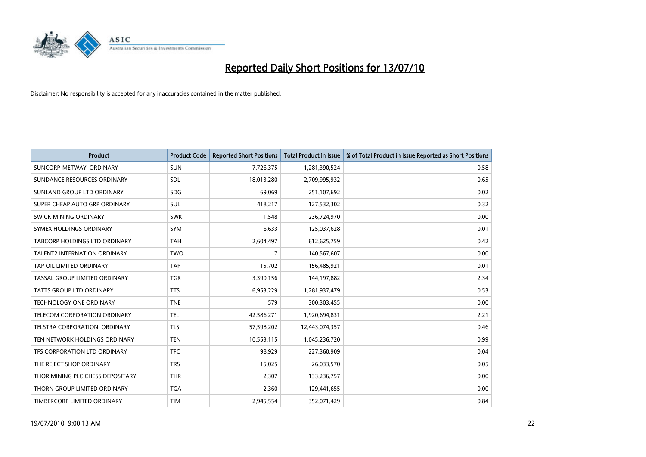

| <b>Product</b>                      | <b>Product Code</b> | <b>Reported Short Positions</b> | Total Product in Issue | % of Total Product in Issue Reported as Short Positions |
|-------------------------------------|---------------------|---------------------------------|------------------------|---------------------------------------------------------|
| SUNCORP-METWAY, ORDINARY            | <b>SUN</b>          | 7,726,375                       | 1,281,390,524          | 0.58                                                    |
| SUNDANCE RESOURCES ORDINARY         | <b>SDL</b>          | 18,013,280                      | 2,709,995,932          | 0.65                                                    |
| SUNLAND GROUP LTD ORDINARY          | <b>SDG</b>          | 69,069                          | 251,107,692            | 0.02                                                    |
| SUPER CHEAP AUTO GRP ORDINARY       | SUL                 | 418,217                         | 127,532,302            | 0.32                                                    |
| SWICK MINING ORDINARY               | <b>SWK</b>          | 1.548                           | 236,724,970            | 0.00                                                    |
| SYMEX HOLDINGS ORDINARY             | SYM                 | 6,633                           | 125,037,628            | 0.01                                                    |
| TABCORP HOLDINGS LTD ORDINARY       | <b>TAH</b>          | 2,604,497                       | 612,625,759            | 0.42                                                    |
| <b>TALENT2 INTERNATION ORDINARY</b> | <b>TWO</b>          | $\overline{7}$                  | 140,567,607            | 0.00                                                    |
| TAP OIL LIMITED ORDINARY            | <b>TAP</b>          | 15,702                          | 156,485,921            | 0.01                                                    |
| TASSAL GROUP LIMITED ORDINARY       | <b>TGR</b>          | 3,390,156                       | 144,197,882            | 2.34                                                    |
| <b>TATTS GROUP LTD ORDINARY</b>     | <b>TTS</b>          | 6,953,229                       | 1,281,937,479          | 0.53                                                    |
| <b>TECHNOLOGY ONE ORDINARY</b>      | <b>TNE</b>          | 579                             | 300,303,455            | 0.00                                                    |
| <b>TELECOM CORPORATION ORDINARY</b> | <b>TEL</b>          | 42,586,271                      | 1,920,694,831          | 2.21                                                    |
| TELSTRA CORPORATION, ORDINARY       | <b>TLS</b>          | 57,598,202                      | 12,443,074,357         | 0.46                                                    |
| TEN NETWORK HOLDINGS ORDINARY       | <b>TEN</b>          | 10,553,115                      | 1,045,236,720          | 0.99                                                    |
| TFS CORPORATION LTD ORDINARY        | <b>TFC</b>          | 98,929                          | 227,360,909            | 0.04                                                    |
| THE REJECT SHOP ORDINARY            | <b>TRS</b>          | 15,025                          | 26,033,570             | 0.05                                                    |
| THOR MINING PLC CHESS DEPOSITARY    | <b>THR</b>          | 2,307                           | 133,236,757            | 0.00                                                    |
| THORN GROUP LIMITED ORDINARY        | <b>TGA</b>          | 2,360                           | 129,441,655            | 0.00                                                    |
| TIMBERCORP LIMITED ORDINARY         | <b>TIM</b>          | 2.945.554                       | 352,071,429            | 0.84                                                    |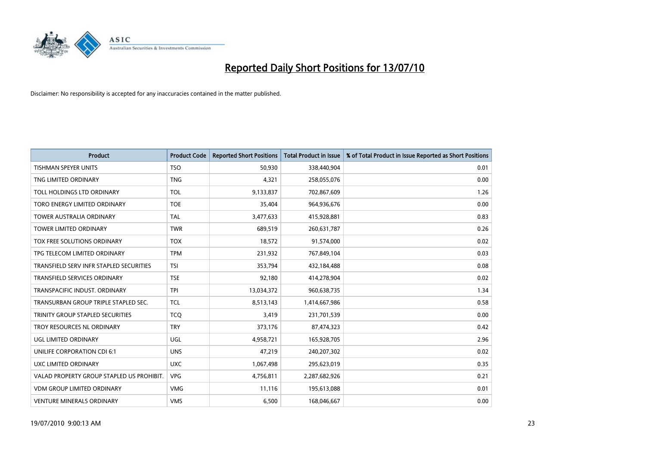

| <b>Product</b>                            | <b>Product Code</b> | <b>Reported Short Positions</b> | Total Product in Issue | % of Total Product in Issue Reported as Short Positions |
|-------------------------------------------|---------------------|---------------------------------|------------------------|---------------------------------------------------------|
| <b>TISHMAN SPEYER UNITS</b>               | <b>TSO</b>          | 50,930                          | 338,440,904            | 0.01                                                    |
| TNG LIMITED ORDINARY                      | <b>TNG</b>          | 4,321                           | 258,055,076            | 0.00                                                    |
|                                           |                     |                                 |                        |                                                         |
| TOLL HOLDINGS LTD ORDINARY                | <b>TOL</b>          | 9,133,837                       | 702,867,609            | 1.26                                                    |
| TORO ENERGY LIMITED ORDINARY              | <b>TOE</b>          | 35,404                          | 964,936,676            | 0.00                                                    |
| <b>TOWER AUSTRALIA ORDINARY</b>           | <b>TAL</b>          | 3,477,633                       | 415,928,881            | 0.83                                                    |
| <b>TOWER LIMITED ORDINARY</b>             | <b>TWR</b>          | 689,519                         | 260,631,787            | 0.26                                                    |
| TOX FREE SOLUTIONS ORDINARY               | <b>TOX</b>          | 18,572                          | 91,574,000             | 0.02                                                    |
| TPG TELECOM LIMITED ORDINARY              | <b>TPM</b>          | 231,932                         | 767,849,104            | 0.03                                                    |
| TRANSFIELD SERV INFR STAPLED SECURITIES   | <b>TSI</b>          | 353,794                         | 432,184,488            | 0.08                                                    |
| <b>TRANSFIELD SERVICES ORDINARY</b>       | <b>TSE</b>          | 92,180                          | 414,278,904            | 0.02                                                    |
| TRANSPACIFIC INDUST. ORDINARY             | <b>TPI</b>          | 13,034,372                      | 960,638,735            | 1.34                                                    |
| TRANSURBAN GROUP TRIPLE STAPLED SEC.      | <b>TCL</b>          | 8,513,143                       | 1,414,667,986          | 0.58                                                    |
| TRINITY GROUP STAPLED SECURITIES          | <b>TCQ</b>          | 3,419                           | 231,701,539            | 0.00                                                    |
| TROY RESOURCES NL ORDINARY                | <b>TRY</b>          | 373,176                         | 87,474,323             | 0.42                                                    |
| UGL LIMITED ORDINARY                      | UGL                 | 4,958,721                       | 165,928,705            | 2.96                                                    |
| UNILIFE CORPORATION CDI 6:1               | <b>UNS</b>          | 47,219                          | 240,207,302            | 0.02                                                    |
| UXC LIMITED ORDINARY                      | <b>UXC</b>          | 1,067,498                       | 295,623,019            | 0.35                                                    |
| VALAD PROPERTY GROUP STAPLED US PROHIBIT. | <b>VPG</b>          | 4,756,811                       | 2,287,682,926          | 0.21                                                    |
| <b>VDM GROUP LIMITED ORDINARY</b>         | <b>VMG</b>          | 11,116                          | 195,613,088            | 0.01                                                    |
| VENTURE MINERALS ORDINARY                 | <b>VMS</b>          | 6,500                           | 168,046,667            | 0.00                                                    |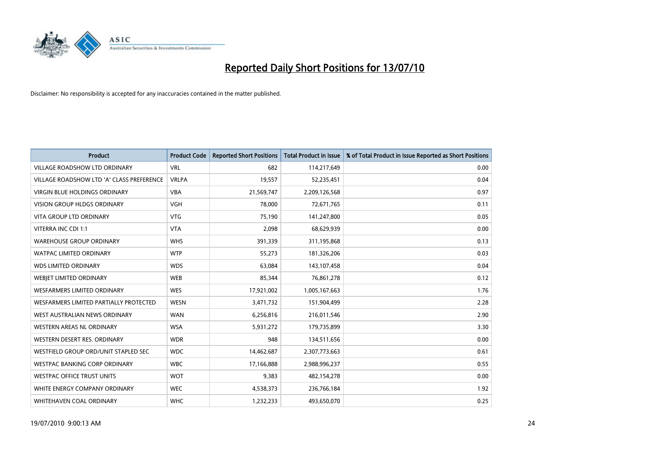

| <b>Product</b>                            | <b>Product Code</b> | <b>Reported Short Positions</b> | <b>Total Product in Issue</b> | % of Total Product in Issue Reported as Short Positions |
|-------------------------------------------|---------------------|---------------------------------|-------------------------------|---------------------------------------------------------|
| <b>VILLAGE ROADSHOW LTD ORDINARY</b>      | <b>VRL</b>          | 682                             | 114,217,649                   | 0.00                                                    |
| VILLAGE ROADSHOW LTD 'A' CLASS PREFERENCE | <b>VRLPA</b>        | 19,557                          | 52,235,451                    | 0.04                                                    |
| <b>VIRGIN BLUE HOLDINGS ORDINARY</b>      | <b>VBA</b>          | 21,569,747                      | 2,209,126,568                 | 0.97                                                    |
| VISION GROUP HLDGS ORDINARY               | <b>VGH</b>          | 78,000                          | 72,671,765                    | 0.11                                                    |
| <b>VITA GROUP LTD ORDINARY</b>            | <b>VTG</b>          | 75,190                          | 141,247,800                   | 0.05                                                    |
| VITERRA INC CDI 1:1                       | <b>VTA</b>          | 2,098                           | 68,629,939                    | 0.00                                                    |
| <b>WAREHOUSE GROUP ORDINARY</b>           | <b>WHS</b>          | 391,339                         | 311,195,868                   | 0.13                                                    |
| <b>WATPAC LIMITED ORDINARY</b>            | <b>WTP</b>          | 55,273                          | 181,326,206                   | 0.03                                                    |
| <b>WDS LIMITED ORDINARY</b>               | <b>WDS</b>          | 63,084                          | 143,107,458                   | 0.04                                                    |
| WEBJET LIMITED ORDINARY                   | <b>WEB</b>          | 85,344                          | 76,861,278                    | 0.12                                                    |
| WESFARMERS LIMITED ORDINARY               | <b>WES</b>          | 17,921,002                      | 1,005,167,663                 | 1.76                                                    |
| WESFARMERS LIMITED PARTIALLY PROTECTED    | <b>WESN</b>         | 3,471,732                       | 151,904,499                   | 2.28                                                    |
| WEST AUSTRALIAN NEWS ORDINARY             | <b>WAN</b>          | 6,256,816                       | 216,011,546                   | 2.90                                                    |
| <b>WESTERN AREAS NL ORDINARY</b>          | <b>WSA</b>          | 5,931,272                       | 179,735,899                   | 3.30                                                    |
| WESTERN DESERT RES. ORDINARY              | <b>WDR</b>          | 948                             | 134,511,656                   | 0.00                                                    |
| WESTFIELD GROUP ORD/UNIT STAPLED SEC      | <b>WDC</b>          | 14,462,687                      | 2,307,773,663                 | 0.61                                                    |
| WESTPAC BANKING CORP ORDINARY             | <b>WBC</b>          | 17,166,888                      | 2,988,996,237                 | 0.55                                                    |
| <b>WESTPAC OFFICE TRUST UNITS</b>         | <b>WOT</b>          | 9,383                           | 482,154,278                   | 0.00                                                    |
| WHITE ENERGY COMPANY ORDINARY             | <b>WEC</b>          | 4,538,373                       | 236,766,184                   | 1.92                                                    |
| WHITEHAVEN COAL ORDINARY                  | <b>WHC</b>          | 1,232,233                       | 493,650,070                   | 0.25                                                    |